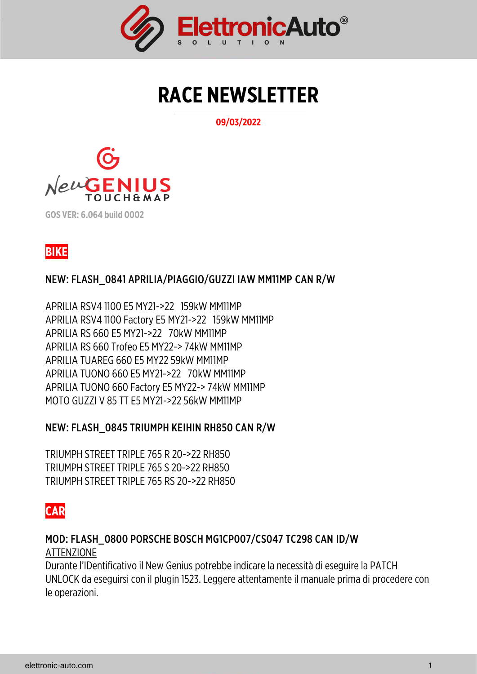

# **RACE NEWSLETTER**

#### *09/03/2022*



**GOS VER: 6.064 build 0002**



#### NEW: FLASH\_0841 APRILIA/PIAGGIO/GUZZI IAW MM11MP CAN R/W

APRILIA RSV4 1100 E5 MY21->22 159kW MM11MP APRILIA RSV4 1100 Factory E5 MY21->22 159kW MM11MP APRILIA RS 660 E5 MY21->22 70kW MM11MP APRILIA RS 660 Trofeo E5 MY22-> 74kW MM11MP APRILIA TUAREG 660 E5 MY22 59kW MM11MP APRILIA TUONO 660 E5 MY21->22 70kW MM11MP APRILIA TUONO 660 Factory E5 MY22-> 74kW MM11MP MOTO GUZZI V 85 TT E5 MY21->22 56kW MM11MP

#### NEW: FLASH\_0845 TRIUMPH KEIHIN RH850 CAN R/W

TRIUMPH STREET TRIPLE 765 R 20->22 RH850 TRIUMPH STREET TRIPLE 765 S 20->22 RH850 TRIUMPH STREET TRIPLE 765 RS 20->22 RH850

# **CAR**

#### MOD: FLASH\_0800 PORSCHE BOSCH MG1CP007/CS047 TC298 CAN ID/W *ATTENZIONE*

Durante l'IDentificativo il New Genius potrebbe indicare la necessità di eseguire la PATCH UNLOCK da eseguirsi con il plugin 1523. Leggere attentamente il manuale prima di procedere con le operazioni.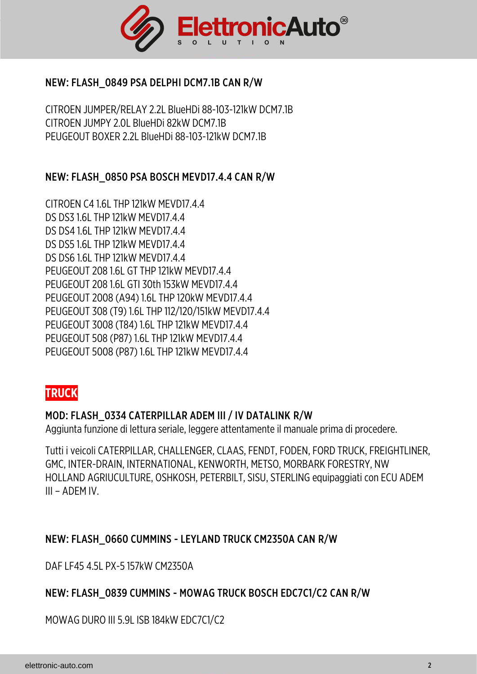

#### NEW: FLASH\_0849 PSA DELPHI DCM7.1B CAN R/W

CITROEN JUMPER/RELAY 2.2L BlueHDi 88-103-121kW DCM7.1B CITROEN JUMPY 2.0L BlueHDi 82kW DCM7.1B PEUGEOUT BOXER 2.2L BlueHDi 88-103-121kW DCM7.1B

#### NEW: FLASH\_0850 PSA BOSCH MEVD17.4.4 CAN R/W

CITROEN C4 1.6L THP 121kW MEVD17.4.4 DS DS3 1.6L THP 121kW MEVD17.4.4 DS DS4 1.6L THP 121kW MEVD17.4.4 DS DS5 1.6L THP 121kW MEVD17.4.4 DS DS6 1.6L THP 121kW MEVD17.4.4 PEUGEOUT 208 1.6L GT THP 121kW MEVD17.4.4 PEUGEOUT 208 1.6L GTI 30th 153kW MEVD17.4.4 PEUGEOUT 2008 (A94) 1.6L THP 120kW MEVD17.4.4 PEUGEOUT 308 (T9) 1.6L THP 112/120/151kW MEVD17.4.4 PEUGEOUT 3008 (T84) 1.6L THP 121kW MEVD17.4.4 PEUGEOUT 508 (P87) 1.6L THP 121kW MEVD17.4.4 PEUGEOUT 5008 (P87) 1.6L THP 121kW MEVD17.4.4

## **TRUCK**

#### MOD: FLASH\_0334 CATERPILLAR ADEM III / IV DATALINK R/W

*Aggiunta funzione di lettura seriale, leggere attentamente il manuale prima di procedere.*

Tutti i veicoli CATERPILLAR, CHALLENGER, CLAAS, FENDT, FODEN, FORD TRUCK, FREIGHTLINER, GMC, INTER-DRAIN, INTERNATIONAL, KENWORTH, METSO, MORBARK FORESTRY, NW HOLLAND AGRIUCULTURE, OSHKOSH, PETERBILT, SISU, STERLING equipaggiati con ECU ADEM III – ADEM IV.

#### NEW: FLASH\_0660 CUMMINS - LEYLAND TRUCK CM2350A CAN R/W

DAF LF45 4.5L PX-5 157kW CM2350A

#### NEW: FLASH\_0839 CUMMINS - MOWAG TRUCK BOSCH EDC7C1/C2 CAN R/W

MOWAG DURO III 5.9L ISB 184kW EDC7C1/C2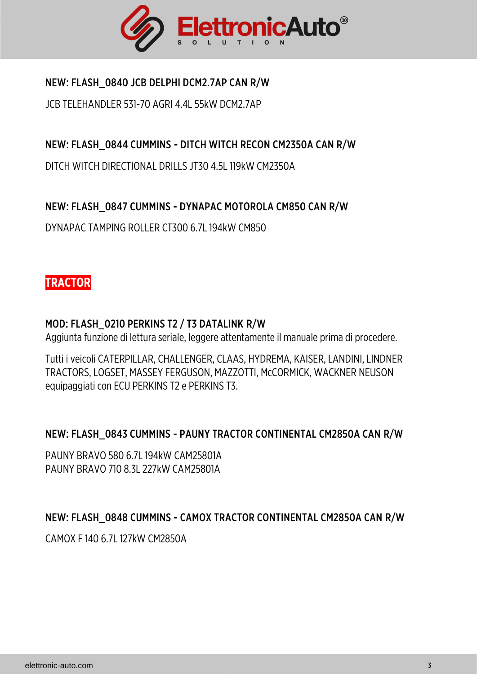

#### NEW: FLASH\_0840 JCB DELPHI DCM2.7AP CAN R/W

JCB TELEHANDLER 531-70 AGRI 4.4L 55kW DCM2.7AP

#### NEW: FLASH\_0844 CUMMINS - DITCH WITCH RECON CM2350A CAN R/W

DITCH WITCH DIRECTIONAL DRILLS JT30 4.5L 119kW CM2350A

#### NEW: FLASH\_0847 CUMMINS - DYNAPAC MOTOROLA CM850 CAN R/W

DYNAPAC TAMPING ROLLER CT300 6.7L 194kW CM850

## **TRACTOR**

#### MOD: FLASH\_0210 PERKINS T2 / T3 DATALINK R/W

*Aggiunta funzione di lettura seriale, leggere attentamente il manuale prima di procedere.*

Tutti i veicoli CATERPILLAR, CHALLENGER, CLAAS, HYDREMA, KAISER, LANDINI, LINDNER TRACTORS, LOGSET, MASSEY FERGUSON, MAZZOTTI, McCORMICK, WACKNER NEUSON equipaggiati con ECU PERKINS T2 e PERKINS T3.

#### NEW: FLASH\_0843 CUMMINS - PAUNY TRACTOR CONTINENTAL CM2850A CAN R/W

PAUNY BRAVO 580 6.7L 194kW CAM25801A PAUNY BRAVO 710 8.3L 227kW CAM25801A

#### NEW: FLASH\_0848 CUMMINS - CAMOX TRACTOR CONTINENTAL CM2850A CAN R/W

CAMOX F 140 6.7L 127kW CM2850A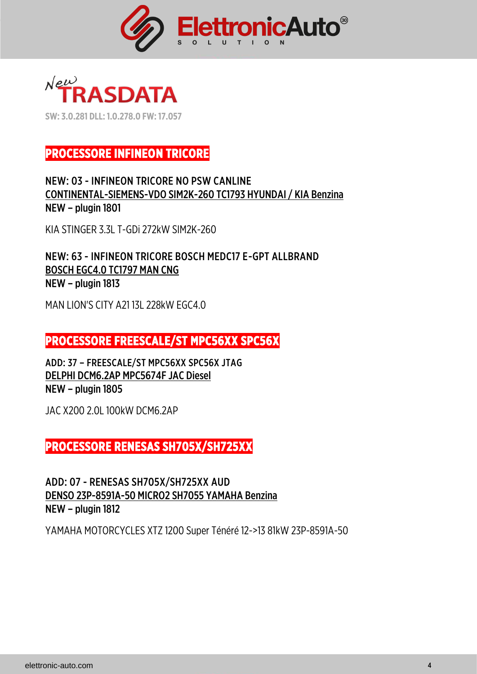

 $N^{\text{ew}}$ TRASDATA

**SW: 3.0.281 DLL: 1.0.278.0 FW: 17.057**

## **PROCESSORE INFINEON TRICORE**

NEW: 03 - INFINEON TRICORE NO PSW CANLINE CONTINENTAL-SIEMENS-VDO SIM2K-260 TC1793 HYUNDAI / KIA Benzina NEW – plugin 1801

KIA STINGER 3.3L T-GDi 272kW SIM2K-260

NEW: 63 - INFINEON TRICORE BOSCH MEDC17 E-GPT ALLBRAND BOSCH EGC4.0 TC1797 MAN CNG NEW – plugin 1813

MAN LION'S CITY A21 13L 228kW EGC4.0

#### **PROCESSORE FREESCALE/ST MPC56XX SPC56X**

ADD: 37 – FREESCALE/ST MPC56XX SPC56X JTAG DELPHI DCM6.2AP MPC5674F JAC Diesel NEW – plugin 1805

JAC X200 2.0L 100kW DCM6.2AP

**PROCESSORE RENESAS SH705X/SH725XX**

ADD: 07 - RENESAS SH705X/SH725XX AUD DENSO 23P-8591A-50 MICRO2 SH7055 YAMAHA Benzina NEW – plugin 1812

YAMAHA MOTORCYCLES XTZ 1200 Super Ténéré 12->13 81kW 23P-8591A-50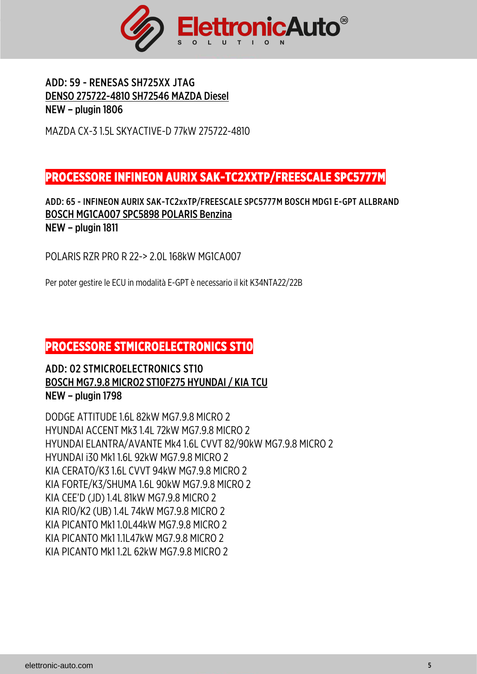

#### ADD: 59 - RENESAS SH725XX JTAG DENSO 275722-4810 SH72546 MAZDA Diesel NEW – plugin 1806

MAZDA CX-3 1.5L SKYACTIVE-D 77kW 275722-4810

## **PROCESSORE INFINEON AURIX SAK-TC2XXTP/FREESCALE SPC5777M**

ADD: 65 - INFINEON AURIX SAK-TC2xxTP/FREESCALE SPC5777M BOSCH MDG1 E-GPT ALLBRAND BOSCH MG1CA007 SPC5898 POLARIS Benzina NEW – plugin 1811

POLARIS RZR PRO R 22-> 2.0L 168kW MG1CA007

*Per poter gestire le ECU in modalità E-GPT è necessario il kit K34NTA22/22B*

## **PROCESSORE STMICROELECTRONICS ST10**

#### ADD: 02 STMICROELECTRONICS ST10 BOSCH MG7.9.8 MICRO2 ST10F275 HYUNDAI / KIA TCU NEW – plugin 1798

DODGE ATTITUDE 1.6L 82kW MG7.9.8 MICRO 2 HYUNDAI ACCENT Mk3 1.4L 72kW MG7.9.8 MICRO 2 HYUNDAI ELANTRA/AVANTE Mk4 1.6L CVVT 82/90kW MG7.9.8 MICRO 2 HYUNDAI i30 Mk1 1.6L 92kW MG7.9.8 MICRO 2 KIA CERATO/K3 1.6L CVVT 94kW MG7.9.8 MICRO 2 KIA FORTE/K3/SHUMA 1.6L 90kW MG7.9.8 MICRO 2 KIA CEE'D (JD) 1.4L 81kW MG7.9.8 MICRO 2 KIA RIO/K2 (UB) 1.4L 74kW MG7.9.8 MICRO 2 KIA PICANTO Mk1 1.0L44kW MG7.9.8 MICRO 2 KIA PICANTO Mk1 1.1L47kW MG7.9.8 MICRO 2 KIA PICANTO Mk1 1.2L 62kW MG7.9.8 MICRO 2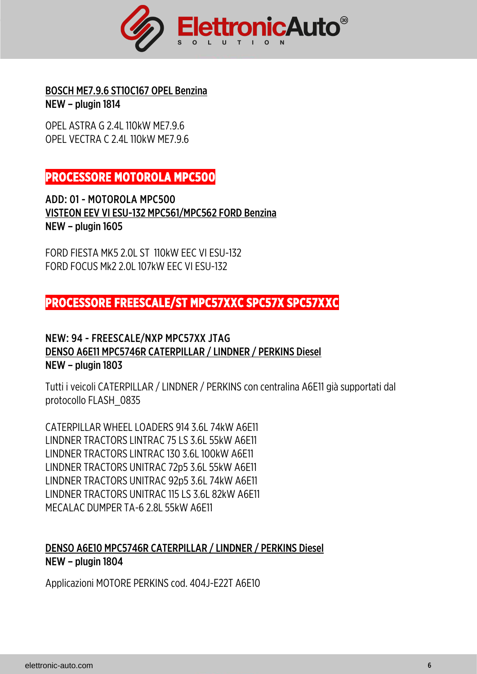

BOSCH ME7.9.6 ST10C167 OPEL Benzina NEW – plugin 1814

OPEL ASTRA G 2.4L 110kW ME7.9.6 OPEL VECTRA C 2.4L 110kW ME7.9.6

**PROCESSORE MOTOROLA MPC500**

ADD: 01 - MOTOROLA MPC500 VISTEON EEV VI ESU-132 MPC561/MPC562 FORD Benzina NEW – plugin 1605

FORD FIESTA MK5 2.0L ST 110kW EEC VI ESU-132 FORD FOCUS Mk2 2.0L 107kW EEC VI ESU-132

## **PROCESSORE FREESCALE/ST MPC57XXC SPC57X SPC57XXC**

#### NEW: 94 - FREESCALE/NXP MPC57XX JTAG DENSO A6E11 MPC5746R CATERPILLAR / LINDNER / PERKINS Diesel NEW – plugin 1803

Tutti i veicoli CATERPILLAR / LINDNER / PERKINS con centralina A6E11 già supportati dal protocollo FLASH\_0835

CATERPILLAR WHEEL LOADERS 914 3.6L 74kW A6E11 LINDNER TRACTORS LINTRAC 75 LS 3.6L 55kW A6E11 LINDNER TRACTORS LINTRAC 130 3.6L 100kW A6E11 LINDNER TRACTORS UNITRAC 72p5 3.6L 55kW A6E11 LINDNER TRACTORS UNITRAC 92p5 3.6L 74kW A6E11 LINDNER TRACTORS UNITRAC 115 LS 3.6L 82kW A6E11 MECALAC DUMPER TA-6 2.8L 55kW A6E11

#### DENSO A6E10 MPC5746R CATERPILLAR / LINDNER / PERKINS Diesel NEW – plugin 1804

Applicazioni MOTORE PERKINS cod. 404J-E22T A6E10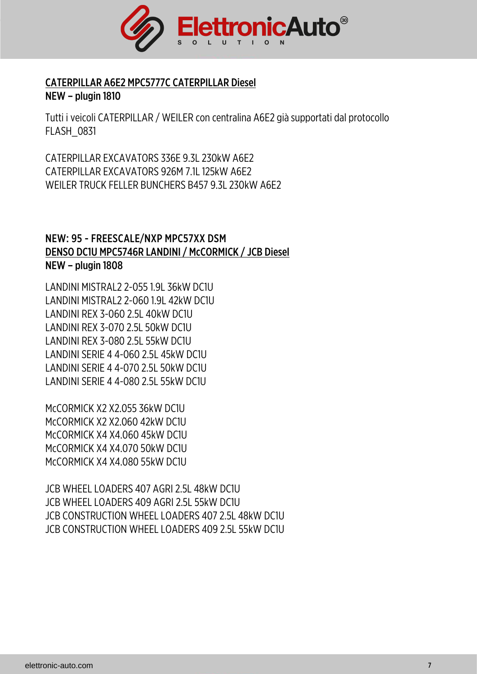

#### CATERPILLAR A6E2 MPC5777C CATERPILLAR Diesel NEW – plugin 1810

Tutti i veicoli CATERPILLAR / WEILER con centralina A6E2 già supportati dal protocollo FLASH\_0831

CATERPILLAR EXCAVATORS 336E 9.3L 230kW A6E2 CATERPILLAR EXCAVATORS 926M 7.1L 125kW A6E2 WEILER TRUCK FELLER BUNCHERS B457 9.3L 230kW A6E2

#### NEW: 95 - FREESCALE/NXP MPC57XX DSM DENSO DC1U MPC5746R LANDINI/ McCORMICK / JCB Diesel NEW – plugin 1808

LANDINI MISTRAL2 2-055 1.9L 36kW DC1U LANDINI MISTRAL2 2-060 1.9L 42kW DC1U LANDINI REX 3-060 2.5L 40kW DC1U LANDINI REX 3-070 2.5L 50kW DC1U LANDINI REX 3-080 2.5L 55kW DC1U LANDINI SERIE 4 4-060 2.5L 45kW DC1U LANDINI SERIE 4 4-070 2.5L 50kW DC1U LANDINI SERIE 4 4-080 2.5L 55kW DC1U

McCORMICK X2 X2.055 36kW DC1U McCORMICK X2 X2.060 42kW DC1U McCORMICK X4 X4.060 45kW DC1U McCORMICK X4 X4.070 50kW DC1U McCORMICK X4 X4.080 55kW DC1U

JCB WHEEL LOADERS 407 AGRI 2.5L 48kW DC1U JCB WHEEL LOADERS 409 AGRI 2.5L 55kW DC1U JCB CONSTRUCTION WHEEL LOADERS 407 2.5L 48kW DC1U JCB CONSTRUCTION WHEEL LOADERS 409 2.5L 55kW DC1U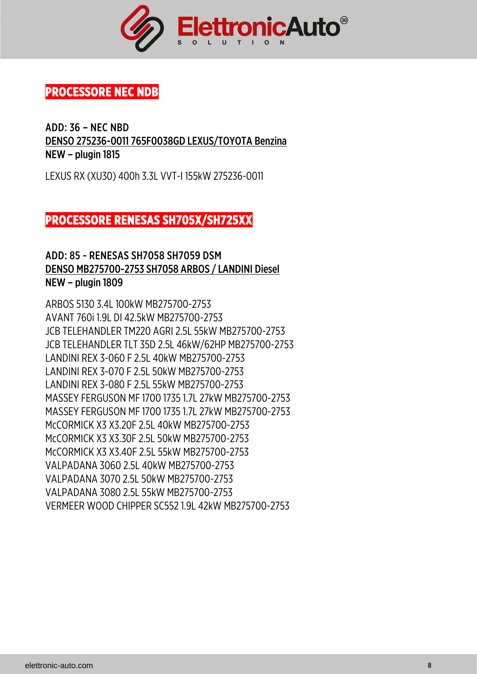

## **PROCESSORE NEC NDB**

ADD: 36 – NEC NBD DENSO 275236-0011 765F0038GD LEXUS/TOYOTA Benzina NEW – plugin 1815

LEXUS RX (XU30) 400h 3.3L VVT-I 155kW 275236-0011

#### **PROCESSORE RENESAS SH705X/SH725XX**

#### ADD: 85 - RENESAS SH7058 SH7059 DSM DENSO MB275700-2753 SH7058 ARBOS / LANDINI Diesel NEW – plugin 1809

ARBOS 5130 3.4L 100kW MB275700-2753 AVANT 760i 1.9L DI 42.5kW MB275700-2753 JCB TELEHANDLER TM220 AGRI 2.5L 55kW MB275700-2753 JCB TELEHANDLER TLT 35D 2.5L 46kW/62HP MB275700-2753 LANDINI REX 3-060 F 2.5L 40kW MB275700-2753 LANDINI REX 3-070 F 2.5L 50kW MB275700-2753 LANDINI REX 3-080 F 2.5L 55kW MB275700-2753 MASSEY FERGUSON MF 1700 1735 1.7L 27kW MB275700-2753 MASSEY FERGUSON MF 1700 1735 1.7L 27kW MB275700-2753 McCORMICK X3 X3.20F 2.5L 40kW MB275700-2753 McCORMICK X3 X3.30F 2.5L 50kW MB275700-2753 McCORMICK X3 X3.40F 2.5L 55kW MB275700-2753 VALPADANA 3060 2.5L 40kW MB275700-2753 VALPADANA 3070 2.5L 50kW MB275700-2753 VALPADANA 3080 2.5L 55kW MB275700-2753 VERMEER WOOD CHIPPER SC552 1.9L 42kW MB275700-2753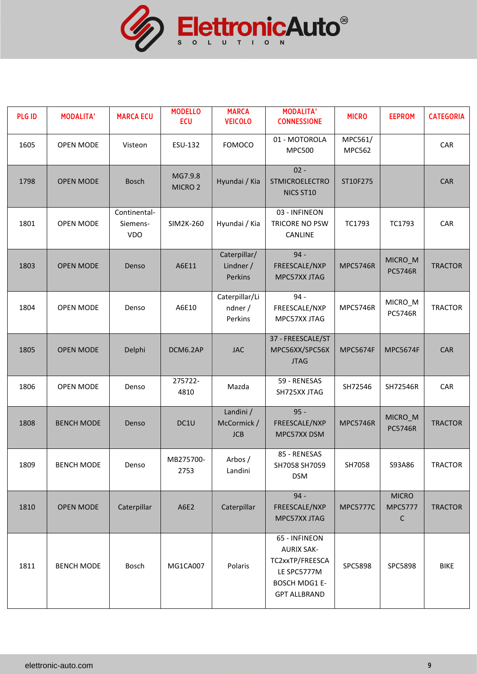

| <b>PLG ID</b> | <b>MODALITA'</b>  | <b>MARCA ECU</b>                       | <b>MODELLO</b><br><b>ECU</b>  | <b>MARCA</b><br><b>VEICOLO</b>         | <b>MODALITA'</b><br><b>CONNESSIONE</b>                                                                              | <b>MICRO</b>             | <b>EEPROM</b>                                  | <b>CATEGORIA</b> |
|---------------|-------------------|----------------------------------------|-------------------------------|----------------------------------------|---------------------------------------------------------------------------------------------------------------------|--------------------------|------------------------------------------------|------------------|
| 1605          | <b>OPEN MODE</b>  | Visteon                                | ESU-132                       | <b>FOMOCO</b>                          | 01 - MOTOROLA<br><b>MPC500</b>                                                                                      | MPC561/<br><b>MPC562</b> |                                                | CAR              |
| 1798          | <b>OPEN MODE</b>  | <b>Bosch</b>                           | MG7.9.8<br>MICRO <sub>2</sub> | Hyundai / Kia                          | $02 -$<br><b>STMICROELECTRO</b><br>NICS ST10                                                                        | ST10F275                 |                                                | CAR              |
| 1801          | <b>OPEN MODE</b>  | Continental-<br>Siemens-<br><b>VDO</b> | SIM2K-260                     | Hyundai / Kia                          | 03 - INFINEON<br><b>TRICORE NO PSW</b><br>CANLINE                                                                   | TC1793                   | TC1793                                         | CAR              |
| 1803          | <b>OPEN MODE</b>  | Denso                                  | A6E11                         | Caterpillar/<br>Lindner /<br>Perkins   | $94 -$<br>FREESCALE/NXP<br>MPC57XX JTAG                                                                             | <b>MPC5746R</b>          | MICRO_M<br><b>PC5746R</b>                      | <b>TRACTOR</b>   |
| 1804          | <b>OPEN MODE</b>  | Denso                                  | A6E10                         | Caterpillar/Li<br>ndner /<br>Perkins   | 94 -<br>FREESCALE/NXP<br>MPC57XX JTAG                                                                               | <b>MPC5746R</b>          | MICRO_M<br><b>PC5746R</b>                      | <b>TRACTOR</b>   |
| 1805          | <b>OPEN MODE</b>  | Delphi                                 | DCM6.2AP                      | <b>JAC</b>                             | 37 - FREESCALE/ST<br>MPC56XX/SPC56X<br><b>JTAG</b>                                                                  | <b>MPC5674F</b>          | <b>MPC5674F</b>                                | CAR              |
| 1806          | <b>OPEN MODE</b>  | Denso                                  | 275722-<br>4810               | Mazda                                  | 59 - RENESAS<br>SH725XX JTAG                                                                                        | SH72546                  | SH72546R                                       | CAR              |
| 1808          | <b>BENCH MODE</b> | Denso                                  | DC1U                          | Landini /<br>McCormick /<br><b>JCB</b> | $95 -$<br>FREESCALE/NXP<br>MPC57XX DSM                                                                              | <b>MPC5746R</b>          | MICRO_M<br><b>PC5746R</b>                      | <b>TRACTOR</b>   |
| 1809          | <b>BENCH MODE</b> | Denso                                  | MB275700-<br>2753             | Arbos /<br>Landini                     | 85 - RENESAS<br>SH7058 SH7059<br><b>DSM</b>                                                                         | SH7058                   | S93A86                                         | <b>TRACTOR</b>   |
| 1810          | <b>OPEN MODE</b>  | Caterpillar                            | A6E2                          | Caterpillar                            | $94 -$<br>FREESCALE/NXP<br>MPC57XX JTAG                                                                             | <b>MPC5777C</b>          | <b>MICRO</b><br><b>MPC5777</b><br>$\mathsf{C}$ | <b>TRACTOR</b>   |
| 1811          | <b>BENCH MODE</b> | Bosch                                  | MG1CA007                      | Polaris                                | 65 - INFINEON<br><b>AURIX SAK-</b><br>TC2xxTP/FREESCA<br>LE SPC5777M<br><b>BOSCH MDG1 E-</b><br><b>GPT ALLBRAND</b> | SPC5898                  | SPC5898                                        | <b>BIKE</b>      |